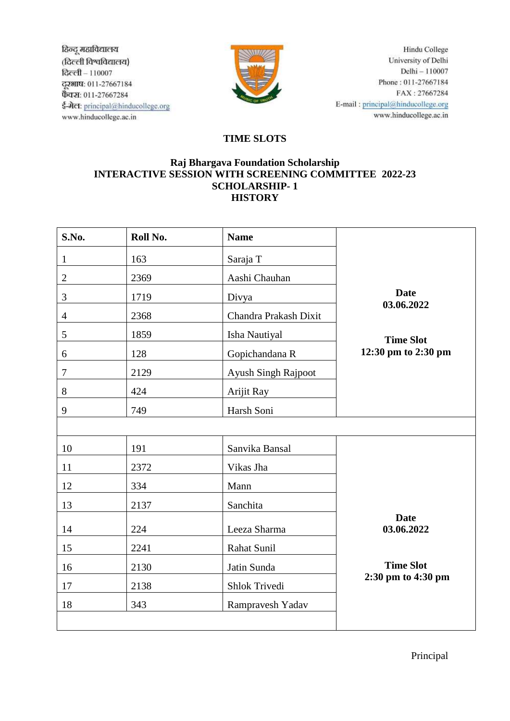ठिन्दू महाविद्यालय (दिल्ली विश्वविद्यालय) टिल्ली - 110007 ट्टरभाष: 011-27667184 फैक्स: 011-27667284 ई-मेल: principal@hinducollege.org www.hinducollege.ac.in



Hindu College University of Delhi Delhi -- 110007 Phone: 011-27667184 FAX: 27667284 E-mail: principal@hinducollege.org www.hinducollege.ac.in

## **TIME SLOTS**

## **Raj Bhargava Foundation Scholarship INTERACTIVE SESSION WITH SCREENING COMMITTEE 2022-23 SCHOLARSHIP- 1 HISTORY**

| S.No.          | Roll No. | <b>Name</b>           |                                               |  |
|----------------|----------|-----------------------|-----------------------------------------------|--|
| $\mathbf{1}$   | 163      | Saraja T              |                                               |  |
| $\overline{2}$ | 2369     | Aashi Chauhan         |                                               |  |
| 3              | 1719     | Divya                 | <b>Date</b><br>03.06.2022<br><b>Time Slot</b> |  |
| $\overline{4}$ | 2368     | Chandra Prakash Dixit |                                               |  |
| 5              | 1859     | Isha Nautiyal         |                                               |  |
| 6              | 128      | Gopichandana R        | 12:30 pm to 2:30 pm                           |  |
| $\tau$         | 2129     | Ayush Singh Rajpoot   |                                               |  |
| $8\,$          | 424      | Arijit Ray            |                                               |  |
| 9              | 749      | Harsh Soni            |                                               |  |
|                |          |                       |                                               |  |
| 10             | 191      | Sanvika Bansal        |                                               |  |
| 11             | 2372     | Vikas Jha             |                                               |  |
| 12             | 334      | Mann                  |                                               |  |
| 13             | 2137     | Sanchita              |                                               |  |
| 14             | 224      | Leeza Sharma          | <b>Date</b><br>03.06.2022                     |  |
| 15             | 2241     | Rahat Sunil           |                                               |  |
| 16             | 2130     | Jatin Sunda           | <b>Time Slot</b><br>2:30 pm to 4:30 pm        |  |
| 17             | 2138     | Shlok Trivedi         |                                               |  |
| 18             | 343      | Rampravesh Yadav      |                                               |  |

Principal